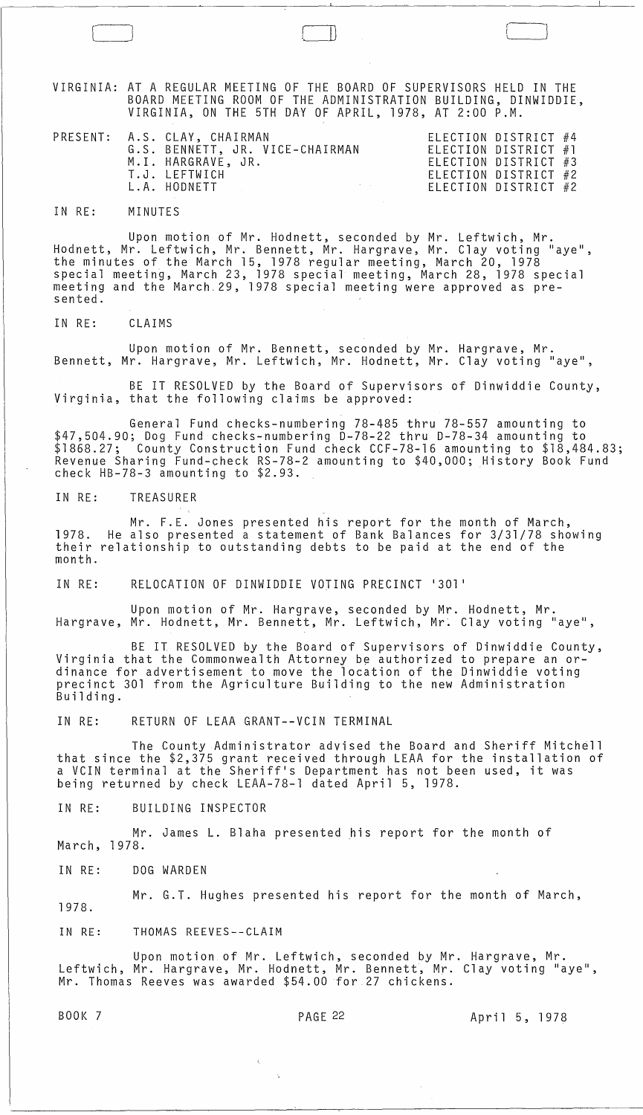VIRGINIA: AT A REGULAR MEETING OF THE BOARD OF SUPERVISORS HELD IN THE BOARD MEETING ROOM OF THE ADMINISTRATION BUILDING, DINWIDDIE, VIRGINIA, ON THE 5TH DAY OF APRIL, 1978, AT 2:00 P.M.

 $\Box$ 

| G.S. BENNETT, JR. VICE-CHAIRMAN<br>ELECTION DISTRICT $#1$<br>M.I. HARGRAVE, JR.<br>ELECTION DISTRICT #3<br>T.J. LEFTWICH<br>ELECTION DISTRICT #2 | ELECTION DISTRICT #4 |  |
|--------------------------------------------------------------------------------------------------------------------------------------------------|----------------------|--|
|                                                                                                                                                  |                      |  |
| L.A. HODNETT<br>ELECTION DISTRICT #2                                                                                                             |                      |  |

IN RE: MINUTES

Upon motion of Mr. Hodnett, seconded by Mr. Leftwich, Mr.<br>Ir. Leftwich, Mr. Bennett, Mr. Hargrave, Mr. Clay voting "aye", Hodnett, Mr. Leftwich, Mr. Bennett, Mr. Hargrave, Mr. Clay voting the minutes of the March 15, 1978 regular meeting, March 20, 1978 special meeting, March 23, 1978 special meeting, March 28, 1978 special meeting and the March.29, 1978 special meeting were approved as pre- sented.

IN RE: CLAIMS

Upon motion of Mr. Bennett, seconded by Mr. Hargrave, Mr. Bennett, Mr. Hargrave, Mr. Leftwich, Mr. Hodnett, Mr. Clay voting "aye",

BE IT RESOLVED by the Board of Supervisors of Dinwiddie County, Virginia, that the following claims be approved:

General Fund checks-numbering 78-485 thru 78-557 amounting to \$47,504.90; Dog Fund checks-numbering D-78-22 thru D-78-34 amounting to \$1868.27; County Construction Fund check CCF-78-16 amounting to \$18,484.83; Revenue Sharing Fund-check RS-78-2 amounting to \$40,000; History Book Fund check HB-78-3 amounting to \$2.93.

IN RE: TREASURER

Mr. F.E. Jones presented his report for the month of March, 1978. He also presented a statement of Bank Balances for 3/31/78 showing<br>their relationship to outstanding debts to be paid at the end of the month.

IN RE: RELOCATION OF DINWIDDIE VOTING PRECINCT '301'

Upon motion of Mr. Hargrave, seconded by Mr. Hodnett, Mr. Hargrave, Mr. Hodnett, Mr. Bennett, Mr. Leftwich, Mr. Clay voting "aye",

BE IT RESOLVED by the Board of Supervisors of Dinwiddie County, Virginia that the Commonwealth Attorney be authorized to prepare an or-<br>dinance for advertisement to move the location of the Dinwiddie voting precinct 301 from the Agriculture Building to the new Administration Building.

IN RE: RETURN OF LEAA GRANT--VCIN TERMINAL

The County Administrator advised the Board and Sheriff Mitchell that since the \$2,375 grant received through LEAA for the installation of a VCIN terminal at the Sheriff's Department has not been used, it was being returned by check LEAA-78-1 dated April 5, 1978.

IN RE: BUILDING INSPECTOR

Mr. James L. Blaha presented his report for the month of March, 1978.

IN RE: DOG WARDEN

Mr. G.T. Hughes presented his report for the month of March, 1978.

IN RE: THOMAS REEVES--CLAIM

Upon motion of Mr. Leftwich, seconded by Mr. Hargrave, Mr.  $\overline{a}$ Leftwich, Mr. Hargrave, Mr. Hodnett, Mr. Bennett, Mr. Clay voting "aye", Mr. Thomas Reeves was awarded \$54.00 for 27 chickens.

BOOK 7 PAGE 22 April 5, 1978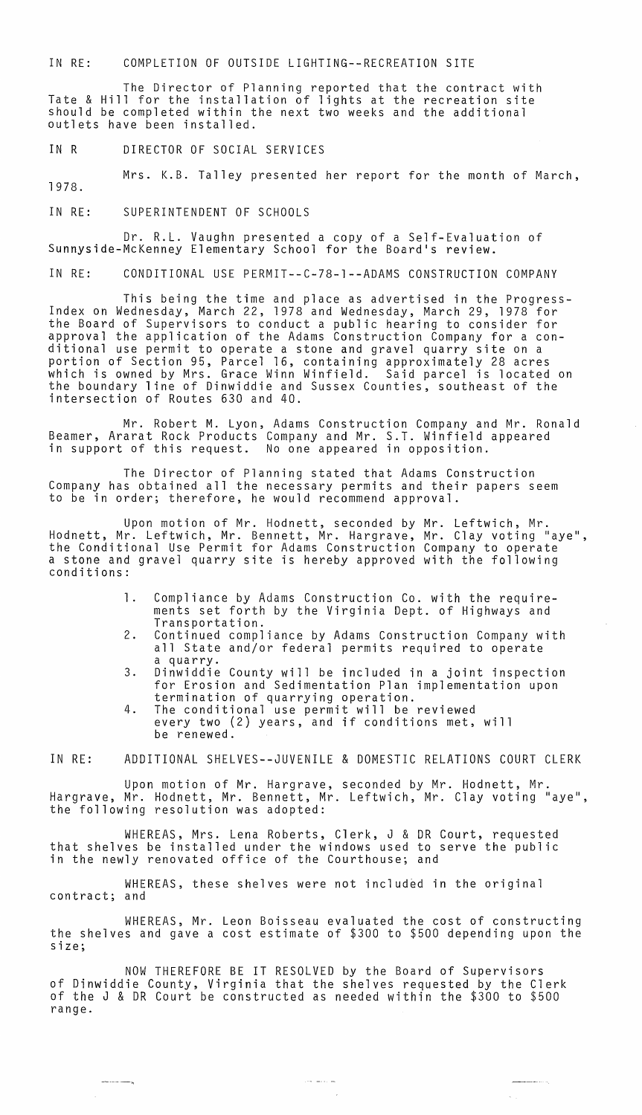IN RE: COMPLETION OF OUTSIDE LIGHTING--RECREATION SITE

The Director of Planning reported that the contract with Tate & Hill for the installation of lights at the recreation site should be completed within the next two weeks and the additional outlets have been installed.

IN R DIRECTOR OF SOCIAL SERVICES

1978. Mrs. K.B. Talley presented her report for the month of March,

IN RE: SUPERINTENDENT OF SCHOOLS

Dr. R.L. Vaughn presented a copy of a Self-Evaluation of Sunnyside-McKenney Elementary School for the Board's review.

IN RE: CONDITIONAL USE PERMIT--C-78-1--ADAMS CONSTRUCTION COMPANY

This being the time and place as advertised **in** the Progress- Index on Wednesday, March 22, 1978 and Wednesday, March 29, 1978 for the Board of Supervisors to conduct a public hearing to consider for approval the application of the Adams Construction Company for a conditional use permit to operate a stone and gravel quarry site on a portion of Section 95, Parcel 16, containing approximately 28 acres which is owned by Mrs. Grace Winn Winfield. Said parcel is located on the boundary line of Dinwiddie and Sussex Counties, southeast of the intersection of Routes 630 and 40.

Mr. Robert M. Lyon, Adams Construction Company and Mr. Ronald Beamer, Ararat Rock Products Company and Mr. S.T. Winfield appeared **in** support of this request. No one appeared in opposition.

The Director of Planning stated that Adams Construction Company has obtained all the necessary permits and their papers seem to be in order; therefore, he would recommend approval.

Upon motion of Mr. Hodnett, seconded by Mr. Leftwich, Mr. Hodnett, Mr. Leftwich, Mr. Bennett, Mr. Hargrave, Mr. Clay voting "aye",<br>the Conditional Use Permit for Adams Construction Company to operate a stone and gravel quarry site is hereby approved with the following conditions:

- 1. Compliance by Adams Construction Co. with the requirements set forth by the Virginia Dept. of Highways and Transportation.
- 2. Continued compliance by Adams Construction Company with all State and/or federal permits required to operate a quarry.
- 3. Dinwiddie County will be included in a joint inspection for Erosion and Sedimentation Plan implementation upon termination of quarrying operation.
- 4. The conditional use permit will be reviewed every two (2) years, and if conditions met, will be renewed.

IN RE: ADDITIONAL SHELVES--JUVENILE & DOMESTIC RELATIONS COURT CLERK

Upon motion of Mr. Hargrave, seconded by Mr. Hodnett, Mr. Hargrave, Mr. Hodnett, Mr. Bennett, Mr. Leftwich, Mr. Clay voting "aye", the following resolution was adopted:

WHEREAS, Mrs. Lena Roberts, Clerk, J & DR Court, requested that shelves be installed under the windows used to serve the public **in** the newly renovated office of the Courthouse; and

WHEREAS, these shelves were not included in the original contract; and

WHEREAS, Mr. Leon Boisseau evaluated the cost of constructing the shelves and gave a cost estimate of \$300 to \$500 depending upon the size;

NOW THEREFORE BE IT RESOLVED by the Board of Supervisors of Dinwiddie County, Virginia that the shelves requested by the Clerk of the J & DR Court be constructed as needed within the \$300 to \$500 range.

المنابط المحارب

and an annual service of the contract of the

 $\omega_{\rm{max}}$ 

 $-$ --- $-$ n

 $\sim$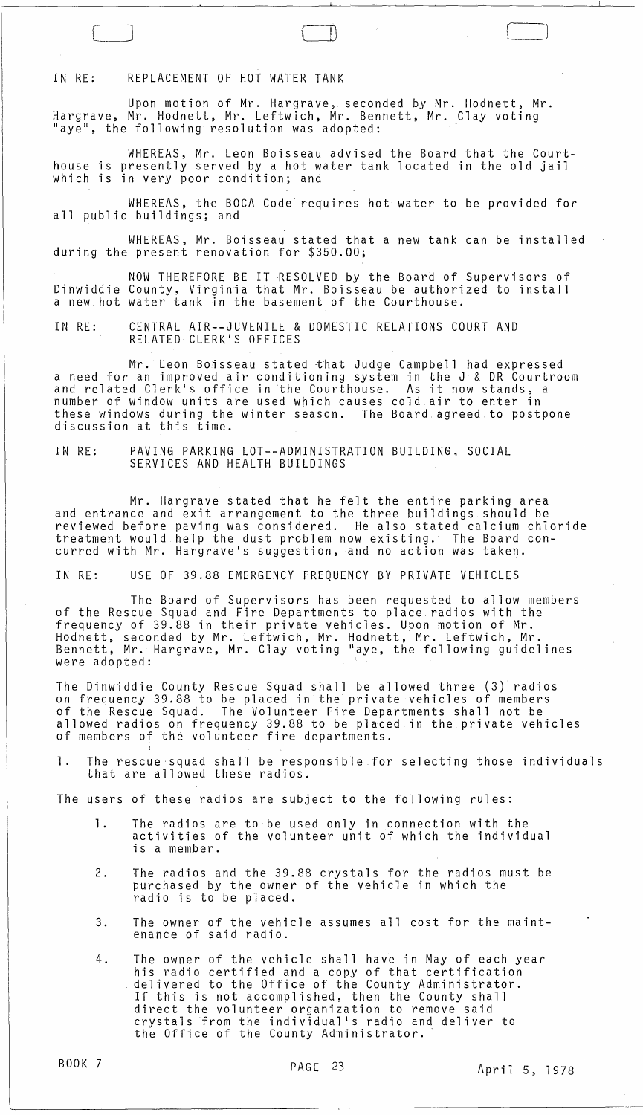IN RE: REPLACEMENT OF HOT WATER TANK

Upon motion of Mr. Hargrave,. seconded by Mr. Hodnett, Mr. Hargrave, Mr. Hodnett, Mr. Leftwich, Mr. Bennett, Mr. Clay voting<br>"aye", the following resolution was adopted:

WHEREAS, Mr. Leon Boisseau advised the Board that the Courthouse is presently served by a hot water tank located in the old jail which is in very poor condition; and

 $\Box$ 

WHEREAS, the BOCA Code requires hot water to be provided for all public buildings; and

WHEREAS, Mr. Boisseau stated that a new tank can be installed during the present renovation for \$350.00;

NOW THEREFORE BE IT RESOLVED by the Board of Supervisors of Dinwiddie County, Virginia that Mr. Boisseau be authorized to install a new hot water tank ·in the basement of the Courthouse.

IN RE: CENTRAL AIR--JUVENILE & DOMESTIC RELATIONS COURT AND RELATED CLERK'S OFFICES

Mr. Leon Boisseau stated khat Judge Campbell had expressed a need for an improved air conditioning system in the J & DR Courtroom and related Clerk's office in the Courthouse. As it now stands, a number of window units are used which causes cold air to enter in these windows during the winter season. The Board agreed to postpone discussion at this time.

IN RE: PAVING PARKING LOT--ADMINISTRATION BUILDING, SOCIAL SERVICES AND HEALTH BUILDINGS

Mr. Hargrave stated that he felt the entire parking area and entrance and exit arrangement to the three buildings. should be reviewed before paving was considered. He also stated calcium chloride treatment would help the dust problem now existing. The Board concurred with Mr. Hargrave's suggestion, and no action was taken.

IN RE: USE OF 39.88 EMERGENCY FREQUENCY BY PRIVATE VEHICLES

The Board of Supervisors has been requested to allow members of the Rescue Squad and Fire Departments to place. radios with the frequency of 39.88 in their private vehicles. Upon motion of Mr. Hodnett, seconded by Mr. Leftwich, Mr. Hodnett, Mr. Leftwich, Mr. Bennett, Mr. Hargrave, Mr. Clay voting "aye, the following guidelines were adopted:

The Dinwiddie County Rescue Squad shall be allowed three (3) radios on frequency 39.88 to be placed in the private vehicles of members of the Rescue Squad. The Volunteer Fire Departments shall not be allowed radios on frequency 39.88 to be placed in the private vehicles of members of the volunteer fire departments.

1. The rescue squad shall be responsible for selecting those individuals that are allowed these radios.

The users of these radios are subject to the following rules:

- 1. The radios are to be used only in connection with the activities of the volunteer unit of which the individual is a member.
- 2. The radios and the 39.88 crystals for the radios must be purchased by the owner of the vehicle in which the radio is to be placed.
- 3. The owner of the vehicle assumes all cost for the maintenance of said radio.
- 4. The owner of the vehicle shall have in May of each year his radio certified and a copy of that certification delivered to the Office of the County Administrator. If this is not accomplished, then the County shall direct the volunteer organization to remove said crystals from the individual's radio and deliver to the Office of the County Administrator.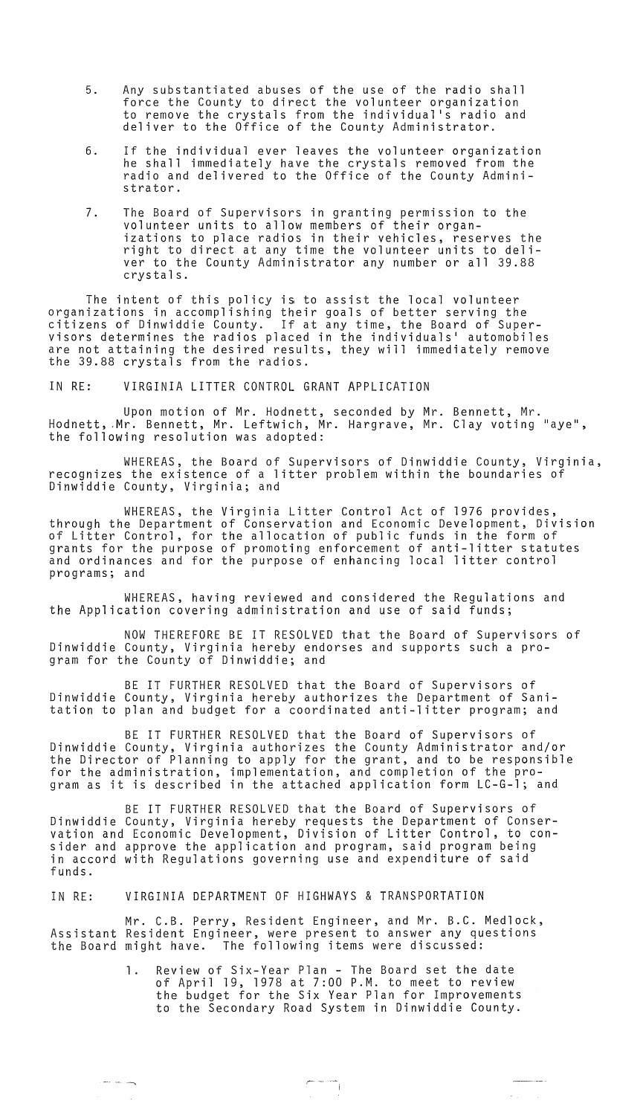- 5. Any substantiated abuses of the use of the radio shall force the County to direct the volunteer organization to remove the crystals from the individual·s radio and deliver to the Office of the County Administrator.
- 6. If the individual ever leaves the volunteer organization he shall immediately have the crystals removed from the radio and delivered to the Office of the County Administrator.
- 7. The Board of Supervisors in granting permission to the volunteer units to allow members of their organizations to place radios in their vehicles, reserves the right to direct at any time the volunteer units to deliver to the County Administrator any number or all 39.88 crystals.

The intent of this policy is to assist the local volunteer organizations in accomplishing their goals of better serving the citizens of Dinwiddie County. If at any time, the Board of Supervisors determines the radios placed in the individuals· automobiles are not attaining the desired results, they will immediately remove the 39.88 crystals from the radios.

IN RE: VIRGINIA LITTER CONTROL GRANT APPLICATION

Upon motion of Mr. Hodnett, seconded by Mr. Bennett, Mr. Hodnett, Mr. Bennett, Mr. Leftwich, Mr. Hargrave, Mr. Clay voting "aye", the following resolution was adopted:

WHEREAS, the Board of Supervisors of Dinwiddie County, Virginia, recognizes the existence of a litter problem within the boundaries of Dinwiddie County, Virginia; and

WHEREAS, the Virginia Litter Control Act of 1976 provides, through the Department of Conservation and Economic Development, Division of Litter Control, for the allocation of public funds in the form of grants for the purpose of promoting enforcement of anti-litter statutes and ordinances and for the purpose of enhancing local litter control programs; and

WHEREAS, having reviewed and considered the Regulations and the Application covering administration and use of said funds;

NOW THEREFORE BE IT RESOLVED that the Board of Supervisors of Dinwiddie County, Virginia hereby endorses and supports such a program for the County of Dinwiddie; and

BE IT FURTHER RESOLVED that the Board of Supervisors of Dinwiddie County, Virginia hereby authorizes the Department of Sanitation to plan and budget for a coordinated anti-litter program; and

BE IT FURTHER RESOLVED that the Board of Supervisors of Dinwiddie County, Virginia authorizes the County Administrator and/or the Director of Planning to apply for the grant, and to be responsible for the administration, implementation, and completion of the program as it is described in the attached application form LC-G-l; and

BE IT FURTHER RESOLVED that the Board of Supervisors of Dinwiddie County, Virginia hereby requests the Department of Conservation and Economic Development, Division of Litter Control, to consider and approve the application and program, said program being in accord with Regulations governing use and expenditure of said funds.

IN RE: VIRGINIA DEPARTMENT OF HIGHWAYS & TRANSPORTATION

--- --- --..."

 $\sim$   $\sim$ 

Mr. C.B. Perry, Resident Engineer, and Mr. B.C. Medlock,<br>Resident Engineer, were present to answer any questions Assistant Resident Engineer, were present to answer any the Board might have. The following items were discussed:

> 1. Review of Six-Year Plan - The Board set the date of April 19, 1978 at 7:00 P.M. to meet to review the budget for the Six Year Plan for Improvements to the Secondary Road System in Dinwiddie County.

> > $\mathcal{L} = \mathcal{L}$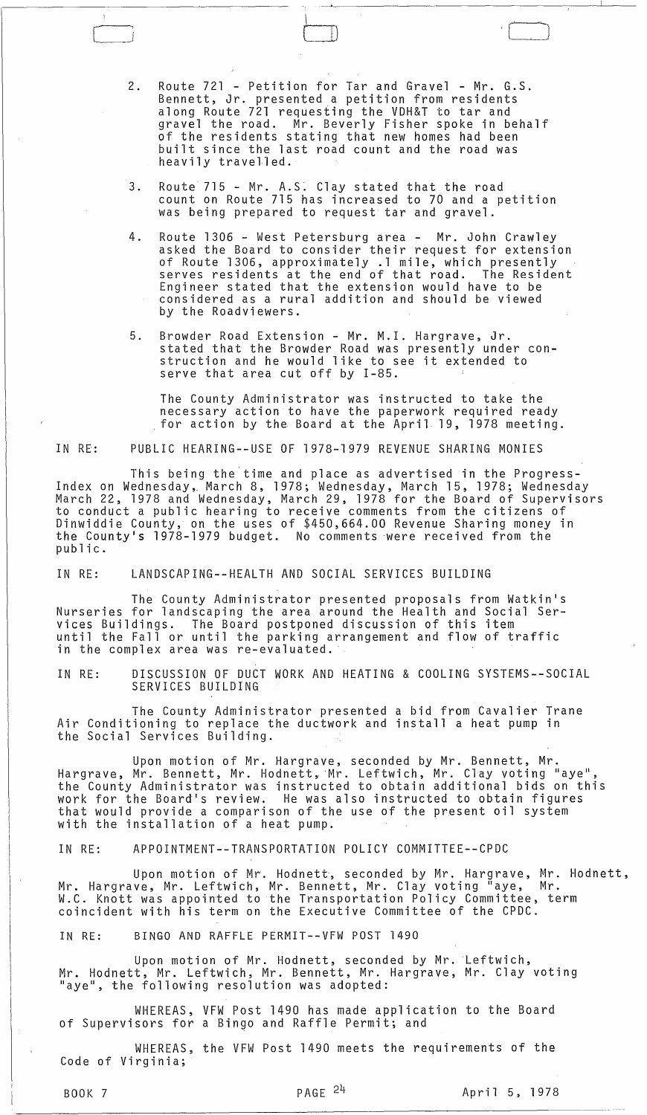2. Route 721 - Petition for Tar and Gravel - Mr. G.S. Bennett, Jr. presented a petition from residents along Route 721 requesting the VDH&T to tar and gravel the road. Mr. Beverly Fisher spoke in behalf of the residents stating that new homes had been built since the last road count and the road was heavily travelled.

 $\bigcup$ 

- 3. Route 715 Mr. A.S. Clay stated that the road count on Route 715 has increased to 70 and a petition was being prepared to request tar and gravel.
- 4. Route 1306 West Petersburg area Mr. John Crawley asked the Board to consider their request for extension of Route 1306, approximately .1 mile, which presently<br>serves residents at the end of that road. The Resident serves residents at the end of that road. Engineer stated that the extension would have to be considered as a rural addition and should be viewed by the Roadviewers.
- 5. Browder Road Extension Mr. M.I. Hargrave, Jr. stated that the Browder Road was presently under construction and he would like to see it extended to serve that area cut off by 1-85.

The County Administrator was instructed to take the for action by the Board at the April 19, 1978 meeting.

IN RE: PUBLIC HEARING--USE OF 1978-1979 REVENUE SHARING MONIES

This being the time and place as advertised in the Progress-Index on Wednesday, March 8, 1978; Wednesday, March 15, 1978; Wednesday March 22, 1978 and Wednesday, March 29, 1978 for the Board of Supervisors to conduct a public hearing to receive comments from the citizens of Dinwiddie County, on the uses of \$450,664.00 Revenue Sharing money in the County's 1978-1979 budget. No comments were received from the public.

IN RE: LANDSCAPING--HEALTH AND SOCIAL SERVICES BUILDING

The County Administrator presented proposals from Watkin's Nurseries for landscaping the area around the Health and Social Services Buildings. The Board postponed discussion of this item until the Fall or until the parking arrangement and flow of traffic in the complex area was re-evaluated.

IN RE: DISCUSSION OF DUCT WORK AND HEATING & COOLING SYSTEMS--SOCIAL SERVICES BUILDING

The County Administrator presented a bid from Cavalier Trane Air Conditioning to replace the ductwork and install a heat pump in the Social Services Building.

Upon motion of Mr. Hargrave, seconded by Mr. Bennett, Mr. Hargrave, Mr. Bennett, Mr. Hodnett, Mr. Leftwich, Mr. Clay voting "aye", the County Administrator was instructed to obtain additional bids on this work for the Board's review. He was also instructed to obtain figures that would provide a comparison of the use of the present oil system with the installation of a heat pump.

IN RE: APPOINTMENT--TRANSPORTATION POLICY COMMITTEE--CPDC

Upon motion of Mr. Hodnett, seconded by Mr. Hargrave, Mr. Hodnett, Mr. Hargrave, Mr. Leftwich, Mr. Bennett, Mr. Clay voting "aye, Mr. W.C. Knott was appointed to the Transportation Policy Committee, term coincident with his term on the Executive Committee of the CPDC.

IN RE: BINGO AND RAFFLE PERMIT--VFW POST 1490

Upon motion of Mr. Hodnett, seconded by Mr. Leftwich, Mr. Hodnett, Mr. Leftwich, Mr. Bennett, Mr. Hargrave, Mr. Clay voting "aye", the following resolution was adopted:

WHEREAS, VFW Post 1490 has made application to the Board of Supervisors for a Bingo and Raffle Permit; and

WHEREAS, the VFW Post 1490 meets the requirements of the Code of Virginia;

 $\bigl[$ 

BOOK 7 PAGE  $^{24}$  April 5, 1978